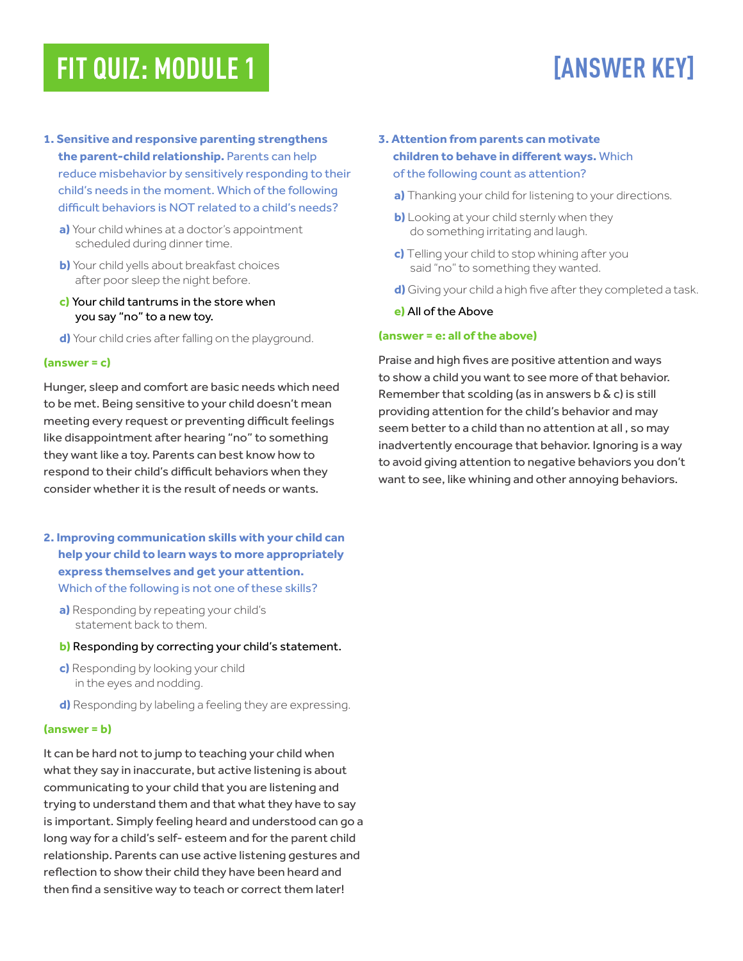# **FIT QUIZ: MODULE 1 [ANSWER KEY]**

- **1. Sensitive and responsive parenting strengthens the parent-child relationship.** Parents can help reduce misbehavior by sensitively responding to their child's needs in the moment. Which of the following difficult behaviors is NOT related to a child's needs?
	- **a)** Your child whines at a doctor's appointment scheduled during dinner time.
	- **b)** Your child yells about breakfast choices after poor sleep the night before.
	- **c)** Your child tantrums in the store when you say "no" to a new toy.
	- **d)** Your child cries after falling on the playground.

### **(answer = c)**

Hunger, sleep and comfort are basic needs which need to be met. Being sensitive to your child doesn't mean meeting every request or preventing difficult feelings like disappointment after hearing "no" to something they want like a toy. Parents can best know how to respond to their child's difficult behaviors when they consider whether it is the result of needs or wants.

- **2. Improving communication skills with your child can help your child to learn ways to more appropriately express themselves and get your attention.** Which of the following is not one of these skills?
	- **a)** Responding by repeating your child's statement back to them.
	- **b)** Responding by correcting your child's statement.
	- **c)** Responding by looking your child in the eyes and nodding.
	- **d)** Responding by labeling a feeling they are expressing.

#### **(answer = b)**

It can be hard not to jump to teaching your child when what they say in inaccurate, but active listening is about communicating to your child that you are listening and trying to understand them and that what they have to say is important. Simply feeling heard and understood can go a long way for a child's self- esteem and for the parent child relationship. Parents can use active listening gestures and reflection to show their child they have been heard and then find a sensitive way to teach or correct them later!

### **3. Attention from parents can motivate children to behave in different ways.** Which of the following count as attention?

- **a)** Thanking your child for listening to your directions.
- **b)** Looking at your child sternly when they do something irritating and laugh.
- **c)** Telling your child to stop whining after you said "no" to something they wanted.
- **d)** Giving your child a high five after they completed a task.

### **e)** All of the Above

### **(answer = e: all of the above)**

Praise and high fives are positive attention and ways to show a child you want to see more of that behavior. Remember that scolding (as in answers  $b \& c$ ) is still providing attention for the child's behavior and may seem better to a child than no attention at all , so may inadvertently encourage that behavior. Ignoring is a way to avoid giving attention to negative behaviors you don't want to see, like whining and other annoying behaviors.